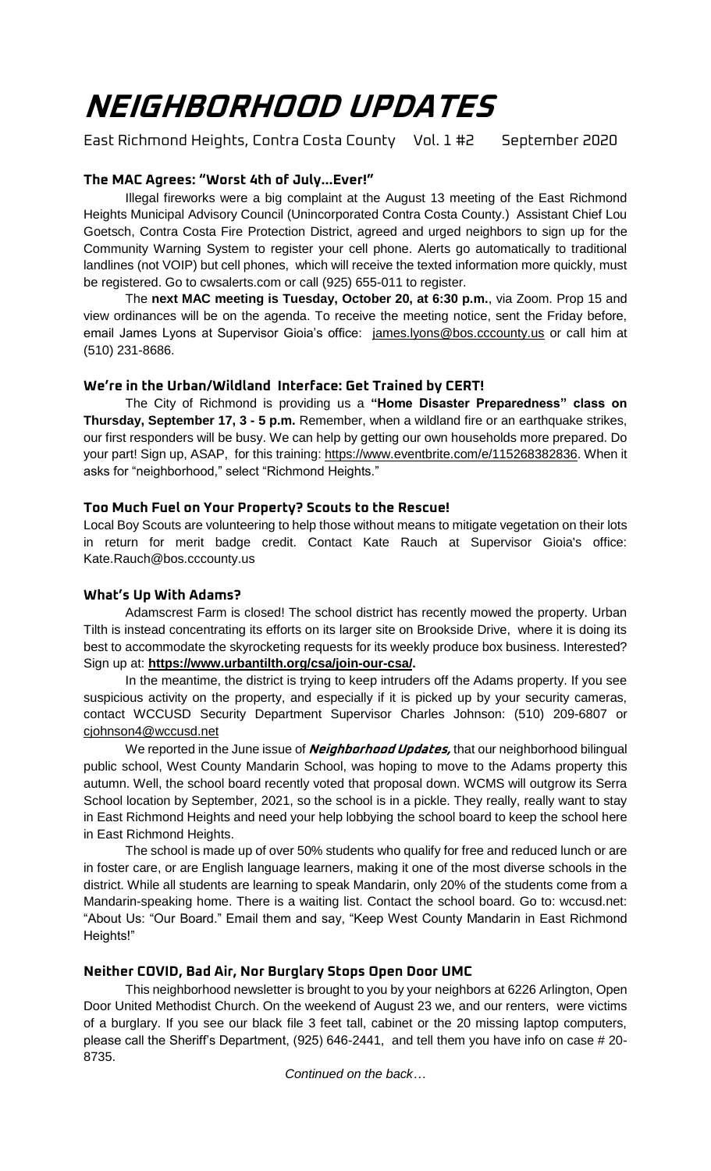# **NEIGHBORHOOD UPDATES**

East Richmond Heights, Contra Costa County Vol. 1 #2 September 2020

## **The MAC Agrees: "Worst 4th of July...Ever!"**

Illegal fireworks were a big complaint at the August 13 meeting of the East Richmond Heights Municipal Advisory Council (Unincorporated Contra Costa County.) Assistant Chief Lou Goetsch, Contra Costa Fire Protection District, agreed and urged neighbors to sign up for the Community Warning System to register your cell phone. Alerts go automatically to traditional landlines (not VOIP) but cell phones, which will receive the texted information more quickly, must be registered. Go to cwsalerts.com or call (925) 655-011 to register.

The **next MAC meeting is Tuesday, October 20, at 6:30 p.m.**, via Zoom. Prop 15 and view ordinances will be on the agenda. To receive the meeting notice, sent the Friday before, email James Lyons at Supervisor Gioia's office: [james.lyons@bos.cccounty.us](mailto:james.lyons@bos.cccounty.us) or call him at (510) 231-8686.

## **We're in the Urban/Wildland Interface: Get Trained by CERT!**

The City of Richmond is providing us a **"Home Disaster Preparedness" class on Thursday, September 17, 3 - 5 p.m.** Remember, when a wildland fire or an earthquake strikes, our first responders will be busy. We can help by getting our own households more prepared. Do your part! Sign up, ASAP, for this training: [https://www.eventbrite.com/e/115268382836.](https://www.eventbrite.com/e/115268382836) When it asks for "neighborhood," select "Richmond Heights."

## **Too Much Fuel on Your Property? Scouts to the Rescue!**

Local Boy Scouts are volunteering to help those without means to mitigate vegetation on their lots in return for merit badge credit. Contact Kate Rauch at Supervisor Gioia's office: Kate.Rauch@bos.cccounty.us

# **What's Up With Adams?**

Adamscrest Farm is closed! The school district has recently mowed the property. Urban Tilth is instead concentrating its efforts on its larger site on Brookside Drive, where it is doing its best to accommodate the skyrocketing requests for its weekly produce box business. Interested? Sign up at: **[https://www.urbantilth.org/csa/join-our-csa/.](https://www.urbantilth.org/csa/join-our-csa/)** 

In the meantime, the district is trying to keep intruders off the Adams property. If you see suspicious activity on the property, and especially if it is picked up by your security cameras, contact WCCUSD Security Department Supervisor Charles Johnson: (510) 209-6807 or [cjohnson4@wccusd.net](mailto:cjohnson4@wccusd.net)

We reported in the June issue of **Neighborhood Updates,** that our neighborhood bilingual public school, West County Mandarin School, was hoping to move to the Adams property this autumn. Well, the school board recently voted that proposal down. WCMS will outgrow its Serra School location by September, 2021, so the school is in a pickle. They really, really want to stay in East Richmond Heights and need your help lobbying the school board to keep the school here in East Richmond Heights.

The school is made up of over 50% students who qualify for free and reduced lunch or are in foster care, or are English language learners, making it one of the most diverse schools in the district. While all students are learning to speak Mandarin, only 20% of the students come from a Mandarin-speaking home. There is a waiting list. Contact the school board. Go to: wccusd.net: "About Us: "Our Board." Email them and say, "Keep West County Mandarin in East Richmond Heights!"

## **Neither COVID, Bad Air, Nor Burglary Stops Open Door UMC**

This neighborhood newsletter is brought to you by your neighbors at 6226 Arlington, Open Door United Methodist Church. On the weekend of August 23 we, and our renters, were victims of a burglary. If you see our black file 3 feet tall, cabinet or the 20 missing laptop computers, please call the Sheriff's Department, (925) 646-2441, and tell them you have info on case # 20- 8735.

*Continued on the back…*